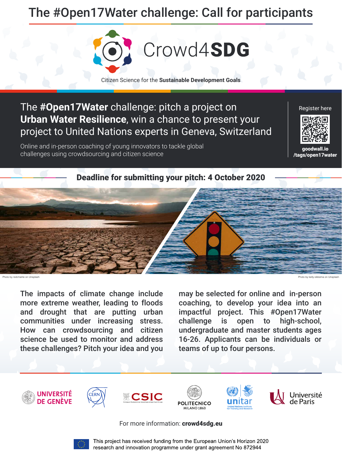#### The **#Open17Water** challenge: pitch a project on **Urban Water Resilience**, win a chance to present your project to United Nations experts in Geneva, Switzerland

The impacts of climate change include more extreme weather, leading to floods and drought that are putting urban communities under increasing stress. How can crowdsourcing and citizen science be used to monitor and address these challenges? Pitch your idea and you

Online and in-person coaching of young innovators to tackle global goodwall.io<br>challenges using crowdsourcing and citizen science good wall.io

> may be selected for online and in-person coaching, to develop your idea into an impactful project. This #Open17Water challenge is open to high-school, undergraduate and master students ages 16-26. Applicants can be individuals or teams of up to four persons.













#### For more information: [crowd4sdg.eu](www.crowd4sdg.eu)



This project has received funding from the European Union's Horizon 2020 research and innovation programme under grant agreement No 872944

[/tags/open17water](https://www.goodwall.io/tags/open17water)

Register here





## The #Open17Water challenge: Call for participants

Citizen Science for the **Sustainable Development Goals**

Crowd4SDG